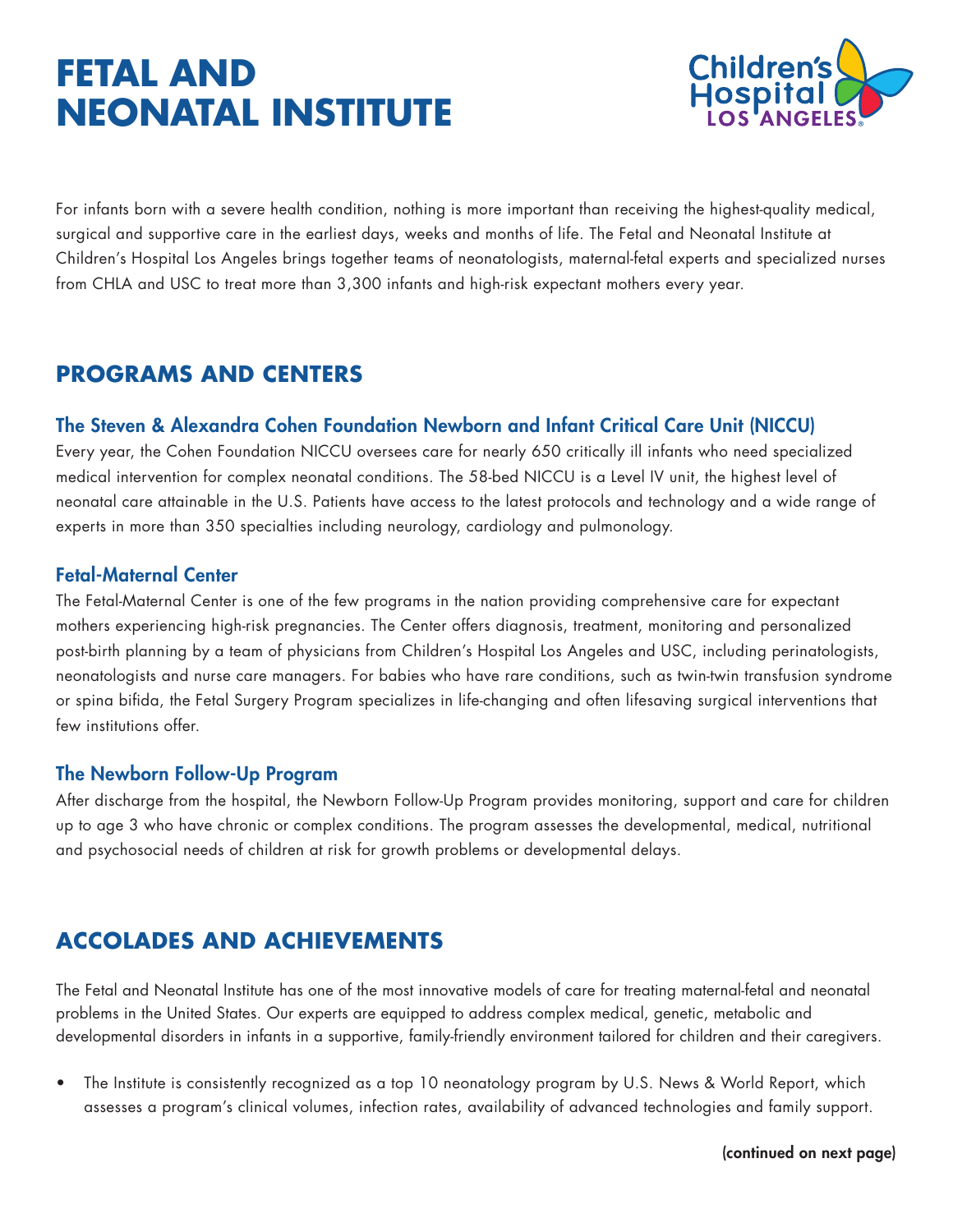# **FETAL AND NEONATAL INSTITUTE**



For infants born with a severe health condition, nothing is more important than receiving the highest-quality medical, surgical and supportive care in the earliest days, weeks and months of life. The Fetal and Neonatal Institute at Children's Hospital Los Angeles brings together teams of neonatologists, maternal-fetal experts and specialized nurses from CHLA and USC to treat more than 3,300 infants and high-risk expectant mothers every year.

## **PROGRAMS AND CENTERS**

### The Steven & Alexandra Cohen Foundation Newborn and Infant Critical Care Unit (NICCU)

Every year, the Cohen Foundation NICCU oversees care for nearly 650 critically ill infants who need specialized medical intervention for complex neonatal conditions. The 58-bed NICCU is a Level IV unit, the highest level of neonatal care attainable in the U.S. Patients have access to the latest protocols and technology and a wide range of experts in more than 350 specialties including neurology, cardiology and pulmonology.

### Fetal-Maternal Center

The Fetal-Maternal Center is one of the few programs in the nation providing comprehensive care for expectant mothers experiencing high-risk pregnancies. The Center offers diagnosis, treatment, monitoring and personalized post-birth planning by a team of physicians from Children's Hospital Los Angeles and USC, including perinatologists, neonatologists and nurse care managers. For babies who have rare conditions, such as twin-twin transfusion syndrome or spina bifida, the Fetal Surgery Program specializes in life-changing and often lifesaving surgical interventions that few institutions offer.

#### The Newborn Follow-Up Program

After discharge from the hospital, the Newborn Follow-Up Program provides monitoring, support and care for children up to age 3 who have chronic or complex conditions. The program assesses the developmental, medical, nutritional and psychosocial needs of children at risk for growth problems or developmental delays.

## **ACCOLADES AND ACHIEVEMENTS**

The Fetal and Neonatal Institute has one of the most innovative models of care for treating maternal-fetal and neonatal problems in the United States. Our experts are equipped to address complex medical, genetic, metabolic and developmental disorders in infants in a supportive, family-friendly environment tailored for children and their caregivers.

• The Institute is consistently recognized as a top 10 neonatology program by U.S. News & World Report, which assesses a program's clinical volumes, infection rates, availability of advanced technologies and family support.